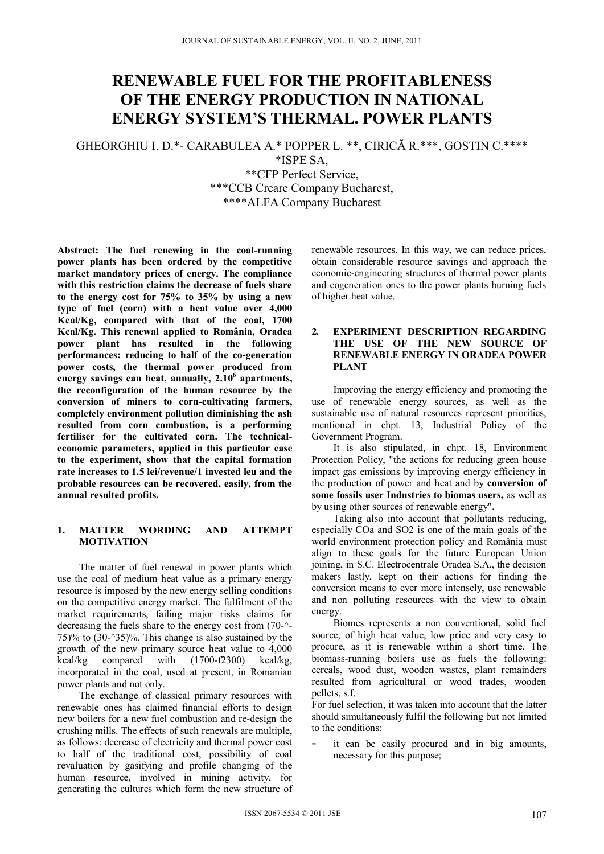# **RENEWABLE FUEL FOR THE PROFITABLENESS OF THE ENERGY PRODUCTION IN NATIONAL ENERGY SYSTEM'S THERMAL. POWER PLANTS**

GHEORGHIU I. D.\*- CARABULEA A.\* POPPER L. \*\*, CIRICĂ R.\*\*\*, GOSTIN C.\*\*\*\*

\*ISPE SA,

\*\*CFP Perfect Service, \*\*\*CCB Creare Company Bucharest, \*\*\*\*ALFA Company Bucharest

**Abstract: The fuel renewing in the coal-running power plants has been ordered by the competitive market mandatory prices of energy. The compliance with this restriction claims the decrease of fuels share to the energy cost for 75% to 35% by using a new type of fuel (corn) with a heat value over 4,000 Kcal/Kg, compared with that of the coal, 1700 Kcal/Kg. This renewal applied to România, Oradea power plant has resulted in the following performances: reducing to half of the co-generation power costs, the thermal power produced from energy savings can heat, annually, 2.106 apartments, the reconfiguration of the human resource by the conversion of miners to corn-cultivating farmers, completely environment pollution diminishing the ash resulted from corn combustion, is a performing fertiliser for the cultivated corn. The technicaleconomic parameters, applied in this particular case to the experiment, show that the capital formation rate increases to 1.5 lei/revenue/1 invested leu and the probable resources can be recovered, easily, from the annual resulted profits.** 

# **1. MATTER WORDING AND ATTEMPT MOTIVATION**

 The matter of fuel renewal in power plants which use the coal of medium heat value as a primary energy resource is imposed by the new energy selling conditions on the competitive energy market. The fulfilment of the market requirements, failing major risks claims for decreasing the fuels share to the energy cost from (70-^- 75)% to  $(30-35)$ %. This change is also sustained by the growth of the new primary source heat value to 4,000 kcal/kg compared with (1700-f2300) kcal/kg, incorporated in the coal, used at present, in Romanian power plants and not only.

 The exchange of classical primary resources with renewable ones has claimed financial efforts to design new boilers for a new fuel combustion and re-design the crushing mills. The effects of such renewals are multiple, as follows: decrease of electricity and thermal power cost to half of the traditional cost, possibility of coal revaluation by gasifying and profile changing of the human resource, involved in mining activity, for generating the cultures which form the new structure of renewable resources. In this way, we can reduce prices, obtain considerable resource savings and approach the economic-engineering structures of thermal power plants and cogeneration ones to the power plants burning fuels of higher heat value.

# **2. EXPERIMENT DESCRIPTION REGARDING THE USE OF THE NEW SOURCE OF RENEWABLE ENERGY IN ORADEA POWER PLANT**

 Improving the energy efficiency and promoting the use of renewable energy sources, as well as the sustainable use of natural resources represent priorities, mentioned in chpt. 13, Industrial Policy of the Government Program.

 It is also stipulated, in chpt. 18, Environment Protection Policy, "the actions for reducing green house impact gas emissions by improving energy efficiency in the production of power and heat and by **conversion of some fossils user Industries to biomas users,** as well as by using other sources of renewable energy".

 Taking also into account that pollutants reducing, especially COa and SO2 is one of the main goals of the world environment protection policy and România must align to these goals for the future European Union joining, in S.C. Electrocentrale Oradea S.A., the decision makers lastly, kept on their actions for finding the conversion means to ever more intensely, use renewable and non polluting resources with the view to obtain energy.

 Biomes represents a non conventional, solid fuel source, of high heat value, low price and very easy to procure, as it is renewable within a short time. The biomass-running boilers use as fuels the following: cereals, wood dust, wooden wastes, plant remainders resulted from agricultural or wood trades, wooden pellets, s.f.

For fuel selection, it was taken into account that the latter should simultaneously fulfil the following but not limited to the conditions:

it can be easily procured and in big amounts, necessary for this purpose;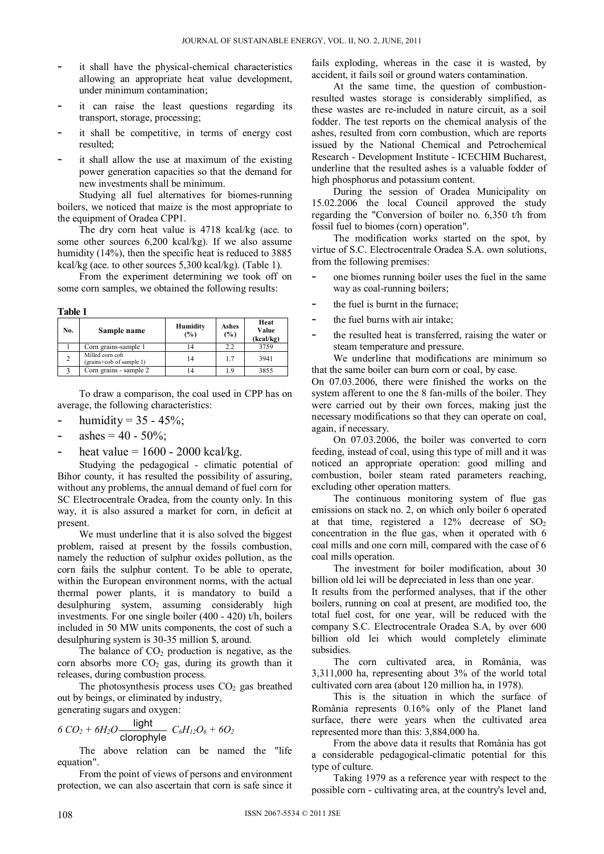- it shall have the physical-chemical characteristics allowing an appropriate heat value development, under minimum contamination;
- it can raise the least questions regarding its transport, storage, processing;
- it shall be competitive, in terms of energy cost resulted;
- it shall allow the use at maximum of the existing power generation capacities so that the demand for new investments shall be minimum.

 Studying all fuel alternatives for biomes-running boilers, we noticed that maize is the most appropriate to the equipment of Oradea CPP1.

 The dry corn heat value is 4718 kcal/kg (ace. to some other sources 6,200 kcal/kg). If we also assume humidity (14%), then the specific heat is reduced to 3885 kcal/kg (ace. to other sources 5,300 kcal/kg). (Table 1).

 From the experiment determining we took off on some corn samples, we obtained the following results:

**Table 1** 

| No. | Sample name                                 | <b>Humidity</b><br>$(\%)$ | Ashes<br>(%) | Heat<br>Value<br>(kcal/kg) |
|-----|---------------------------------------------|---------------------------|--------------|----------------------------|
|     | Corn grains-sample 1                        |                           | 2.2          | 3759                       |
| 2   | Milled corn cob<br>(grains+cob of sample 1) | 14                        | 17           | 3941                       |
|     | Corn grains - sample 2                      |                           | 1.9          | 3855                       |

 To draw a comparison, the coal used in CPP has on average, the following characteristics:

- humidity =  $35 45\%$ ;
- ashes =  $40 50\%$ ;
- heat value  $= 1600 2000$  kcal/kg.

Studying the pedagogical - climatic potential of Bihor county, it has resulted the possibility of assuring, without any problems, the annual demand of fuel corn for SC Electrocentrale Oradea, from the county only. In this way, it is also assured a market for corn, in deficit at present.

 We must underline that it is also solved the biggest problem, raised at present by the fossils combustion, namely the reduction of sulphur oxides pollution, as the corn fails the sulphur content. To be able to operate, within the European environment norms, with the actual thermal power plants, it is mandatory to build a desulphuring system, assuming considerably high investments. For one single boiler (400 - 420) t/h, boilers included in 50 MW units components, the cost of such a desulphuring system is 30-35 million \$, around.

The balance of  $CO<sub>2</sub>$  production is negative, as the corn absorbs more  $CO<sub>2</sub>$  gas, during its growth than it releases, during combustion process.

The photosynthesis process uses  $CO<sub>2</sub>$  gas breathed out by beings, or eliminated by industry,

generating sugars and oxygen:

$$
6 CO2 + 6H2O \frac{light}{clorophyle} C6H12O6 + 6O2
$$

 The above relation can be named the "life equation".

 From the point of views of persons and environment protection, we can also ascertain that corn is safe since it

fails exploding, whereas in the case it is wasted, by accident, it fails soil or ground waters contamination.

 At the same time, the question of combustionresulted wastes storage is considerably simplified, as these wastes are re-included in nature circuit, as a soil fodder. The test reports on the chemical analysis of the ashes, resulted from corn combustion, which are reports issued by the National Chemical and Petrochemical Research - Development Institute - ICECHIM Bucharest, underline that the resulted ashes is a valuable fodder of high phosphorus and potassium content.

 During the session of Oradea Municipality on 15.02.2006 the local Council approved the study regarding the "Conversion of boiler no. 6,350 t/h from fossil fuel to biomes (corn) operation".

 The modification works started on the spot, by virtue of S.C. Electrocentrale Oradea S.A. own solutions, from the following premises:

- one biomes running boiler uses the fuel in the same way as coal-running boilers;
- the fuel is burnt in the furnace;
- the fuel burns with air intake;
- the resulted heat is transferred, raising the water or steam temperature and pressure.

 We underline that modifications are minimum so that the same boiler can burn corn or coal, by case.

On 07.03.2006, there were finished the works on the system afferent to one the 8 fan-mills of the boiler. They were carried out by their own forces, making just the necessary modifications so that they can operate on coal, again, if necessary.

 On 07.03.2006, the boiler was converted to corn feeding, instead of coal, using this type of mill and it was noticed an appropriate operation: good milling and combustion, boiler steam rated parameters reaching, excluding other operation matters.

 The continuous monitoring system of flue gas emissions on stack no. 2, on which only boiler 6 operated at that time, registered a  $12\%$  decrease of  $SO_2$ concentration in the flue gas, when it operated with 6 coal mills and one corn mill, compared with the case of 6 coal mills operation.

 The investment for boiler modification, about 30 billion old lei will be depreciated in less than one year.

It results from the performed analyses, that if the other boilers, running on coal at present, are modified too, the total fuel cost, for one year, will be reduced with the company S.C. Electrocentrale Oradea S.A, by over 600 billion old lei which would completely eliminate subsidies.

 The corn cultivated area, in România, was 3,311,000 ha, representing about 3% of the world total cultivated corn area (about 120 million ha, in 1978).

 This is the situation in which the surface of România represents 0.16% only of the Planet land surface, there were years when the cultivated area represented more than this: 3,884,000 ha.

 From the above data it results that România has got a considerable pedagogical-climatic potential for this type of culture.

 Taking 1979 as a reference year with respect to the possible corn - cultivating area, at the country's level and,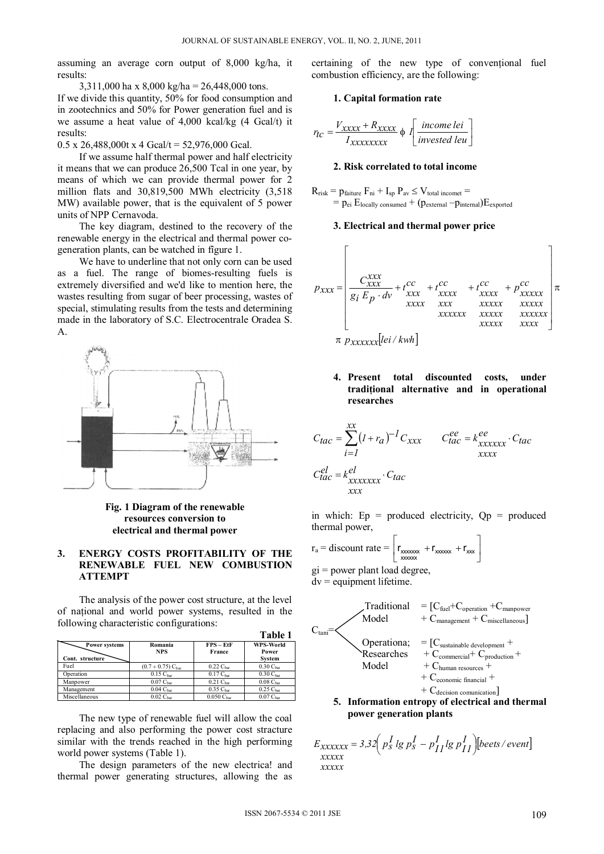assuming an average corn output of 8,000 kg/ha, it results:

3,311,000 ha x 8,000 kg/ha = 26,448,000 tons.

If we divide this quantity, 50% for food consumption and in zootechnics and 50% for Power generation fuel and is we assume a heat value of 4,000 kcal/kg (4 Gcal/t) it results:

 $0.5 \times 26,488,000$ t x 4 Gcal/t = 52,976,000 Gcal.

 If we assume half thermal power and half electricity it means that we can produce 26,500 Tcal in one year, by means of which we can provide thermal power for 2 million flats and 30,819,500 MWh electricity (3,518 MW) available power, that is the equivalent of 5 power units of NPP Cernavoda.

 The key diagram, destined to the recovery of the renewable energy in the electrical and thermal power cogeneration plants, can be watched in fîgure 1.

 We have to underline that not only corn can be used as a fuel. The range of biomes-resulting fuels is extremely diversified and we'd like to mention here, the wastes resulting from sugar of beer processing, wastes of special, stimulating results from the tests and determining made in the laboratory of S.C. Electrocentrale Oradea S. A.



**Fig. 1 Diagram of the renewable resources conversion to electrical and thermal power** 

## **3. ENERGY COSTS PROFITABILITY OF THE RENEWABLE FUEL NEW COMBUSTION ATTEMPT**

 The analysis of the power cost structure, at the level of naţional and world power systems, resulted in the following characteristic configurations:

|                                  |                                    |                                     | таніс т                             |
|----------------------------------|------------------------------------|-------------------------------------|-------------------------------------|
| Power systems<br>Cont. structure | Romania<br><b>NPS</b>              | $\text{FPS} - \text{EtF}$<br>France | WPS-World<br>Power<br><b>System</b> |
| Fuel                             | $(0.7 \div 0.75)$ C <sub>har</sub> | $0.22$ C <sub>har</sub>             | 0.30 C <sub>bar</sub>               |
| Operation                        | $0.15$ C <sub>har</sub>            | $0.17C_{bar}$                       | 0.30 C <sub>bar</sub>               |
| Manpower                         | $0.07$ C <sub>har</sub>            | $0.21$ C <sub>har</sub>             | $0.08$ C <sub>har</sub>             |
| Management                       | $0.04$ C <sub>har</sub>            | $0.35C_{\text{bar}}$                | 0.25C <sub>bar</sub>                |
| Miscellaneous                    | $0.02$ C <sub>har</sub>            | $0.050C_{\text{bar}}$               | $0.07$ C <sub>har</sub>             |

 The new type of renewable fuel will allow the coal replacing and also performing the power cost stracture similar with the trends reached in the high performing world power systems (Table 1).

 The design parameters of the new electrica! and thermal power generating structures, allowing the as

certaining of the new type of conventional fuel combustion efficiency, are the following:

### **1. Capital formation rate**

$$
r_{tc} = \frac{V_{xxxxx} + R_{xxxxx}}{I_{xxxxxxx}} \phi \int \left[ \frac{income \, lei}{invested \, lev} \right]
$$

#### **2. Risk correlated to total income**

 $R_{risk} = p_{fairure} F_{ni} + I_{sp} P_{av} \le V_{total\ incomet} =$  $=$   $p_{ei}$   $E_{locally\, consumed} + (p_{external} - p_{internal})E_{exported}$ 

## **3. Electrical and thermal power price**

$$
p_{xxx} = \begin{bmatrix} c_{xxx}^{xxx} \\ \frac{c_{xxx}^{xxx}}{g_i E_p \cdot dv} + t_{xxx}^{cc} + t_{xxxx}^{cc} + t_{xxxx}^{cc} + p_{xxxxxx}^{cc} \\ & & \frac{c_{xxx}^{xxx}}{xxxx} + t_{xxxxxx}^{xxxx} + p_{xxxxxx}^{xxxx} \\ & & \frac{c_{xxxxx}^{xxxx}}{xxxxx} + \frac{c_{xxxxx}^{xxxx}}{xxxxx} + p_{xxxxxx}^{xxxx} \\ & & \frac{c_{xxxxx}^{xxxx}}{xxxxx} \end{bmatrix}
$$

# **4. Present total discounted costs, under tradiţional alternative and in operational researches**

$$
C_{tac} = \sum_{i=1}^{xx} (1 + r_a)^{-1} C_{xxx} \qquad C_{tac}^{ee} = k_{xxxxxx}^{ee} \cdot C_{tac}
$$

$$
C_{tac}^{el} = k_{xxxxxx}^{el} \cdot C_{tac}
$$

$$
C_{xxx}^{ex}
$$

in which:  $Ep = produced$  electricity,  $Qp = produced$ thermal power,

$$
r_a = \text{discount rate} = \left[ \frac{r_{\text{00000x}}}{r_{\text{0000x}}} + r_{\text{0000x}} + r_{\text{000x}} \right]
$$

gi = power plant load degree, dv = equipment lifetime.

| Traditional<br>$Model$                                                                                                                                                                                                                                                      | $= [C_{\text{fuel}} + C_{\text{operator}} + C_{\text{manpower}} + C_{\text{manpower}}]$ |
|-----------------------------------------------------------------------------------------------------------------------------------------------------------------------------------------------------------------------------------------------------------------------------|-----------------------------------------------------------------------------------------|
| $C_{\text{tani}} = \left(\frac{C_{\text{sustainable development}}}{C_{\text{nonmercial}}} + \frac{C_{\text{nonmercial}}}{C_{\text{production}}} + \frac{C_{\text{nonmercial}}}{C_{\text{homan resources}}} + \frac{C_{\text{conomic financial}}}{C_{\text{economication}}}$ |                                                                                         |
| <b>5.</b> Information entropy of electrical and thermal                                                                                                                                                                                                                     |                                                                                         |

**Exercical and thermal power generation plants** 

$$
E_{xxxxxxx} = 3.32 \left( p_s^I \lg p_s^I - p_{II}^I \lg p_{II}^I \right) \left[ \text{beets} / \text{event} \right]
$$
  
xxxxx  
xxxxx

**Table 1**